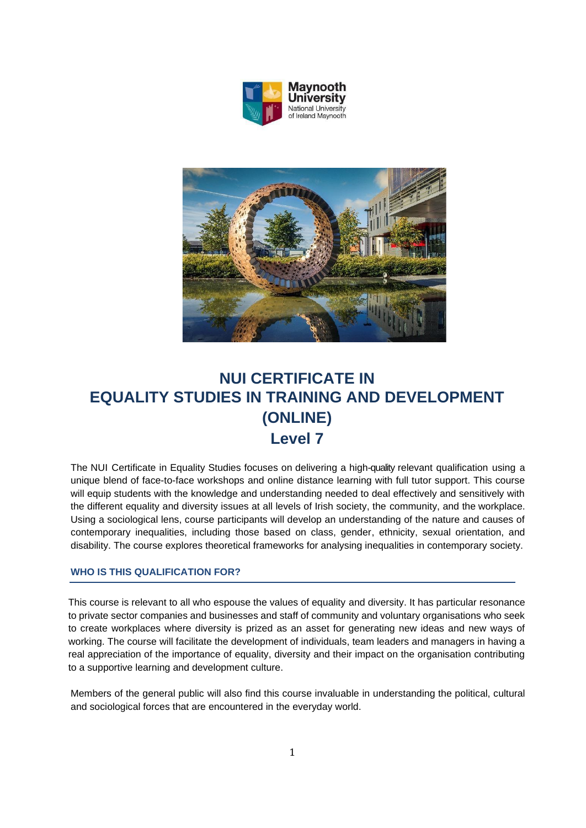



# **NUI CERTIFICATE IN EQUALITY STUDIES IN TRAINING AND DEVELOPMENT (ONLINE) Level 7**

The NUI Certificate in Equality Studies focuses on delivering a high-quality relevant qualification using a unique blend of face-to-face workshops and online distance learning with full tutor support. This course will equip students with the knowledge and understanding needed to deal effectively and sensitively with the different equality and diversity issues at all levels of Irish society, the community, and the workplace. Using a sociological lens, course participants will develop an understanding of the nature and causes of contemporary inequalities, including those based on class, gender, ethnicity, sexual orientation, and disability. The course explores theoretical frameworks for analysing inequalities in contemporary society.

### **WHO IS THIS QUALIFICATION FOR?**

This course is relevant to all who espouse the values of equality and diversity. It has particular resonance to private sector companies and businesses and staff of community and voluntary organisations who seek to create workplaces where diversity is prized as an asset for generating new ideas and new ways of working. The course will facilitate the development of individuals, team leaders and managers in having a real appreciation of the importance of equality, diversity and their impact on the organisation contributing to a supportive learning and development culture.

Members of the general public will also find this course invaluable in understanding the political, cultural and sociological forces that are encountered in the everyday world.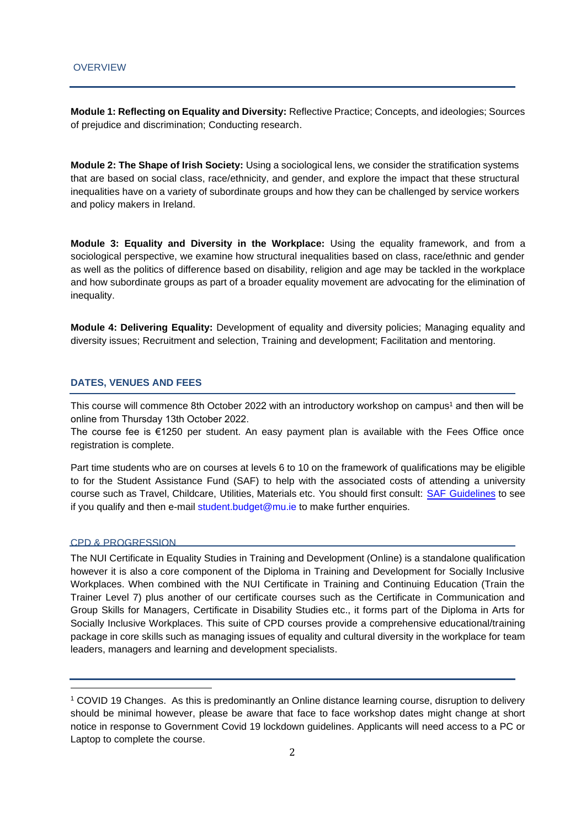**Module 1: Reflecting on Equality and Diversity:** Reflective Practice; Concepts, and ideologies; Sources of prejudice and discrimination; Conducting research.

**Module 2: The Shape of Irish Society:** Using a sociological lens, we consider the stratification systems that are based on social class, race/ethnicity, and gender, and explore the impact that these structural inequalities have on a variety of subordinate groups and how they can be challenged by service workers and policy makers in Ireland.

**Module 3: Equality and Diversity in the Workplace:** Using the equality framework, and from a sociological perspective, we examine how structural inequalities based on class, race/ethnic and gender as well as the politics of difference based on disability, religion and age may be tackled in the workplace and how subordinate groups as part of a broader equality movement are advocating for the elimination of inequality.

**Module 4: Delivering Equality:** Development of equality and diversity policies; Managing equality and diversity issues; Recruitment and selection, Training and development; Facilitation and mentoring.

#### **DATES, VENUES AND FEES**

This course will commence 8th October 2022 with an introductory workshop on campus<sup>1</sup> and then will be online from Thursday 13th October 2022.

The course fee is €1250 per student. An easy payment plan is available with the Fees Office once registration is complete.

Part time students who are on courses at levels 6 to 10 on the framework of qualifications may be eligible to for the Student Assistance Fund (SAF) to help with the associated costs of attending a university course such as Travel, Childcare, Utilities, Materials etc. You should first consult: [SAF Guidelines](https://www.maynoothuniversity.ie/access-office/SAF) to see if you qualify and then e-mail [student.budget@mu.ie](mailto:student.budget@mu.ie) to make further enquiries.

#### CPD & PROGRESSION

The NUI Certificate in Equality Studies in Training and Development (Online) is a standalone qualification however it is also a core component of the Diploma in Training and Development for Socially Inclusive Workplaces. When combined with the NUI Certificate in Training and Continuing Education (Train the Trainer Level 7) plus another of our certificate courses such as the Certificate in Communication and Group Skills for Managers, Certificate in Disability Studies etc., it forms part of the Diploma in Arts for Socially Inclusive Workplaces. This suite of CPD courses provide a comprehensive educational/training package in core skills such as managing issues of equality and cultural diversity in the workplace for team leaders, managers and learning and development specialists.

<sup>1</sup> COVID 19 Changes. As this is predominantly an Online distance learning course, disruption to delivery should be minimal however, please be aware that face to face workshop dates might change at short notice in response to Government Covid 19 lockdown guidelines. Applicants will need access to a PC or Laptop to complete the course.